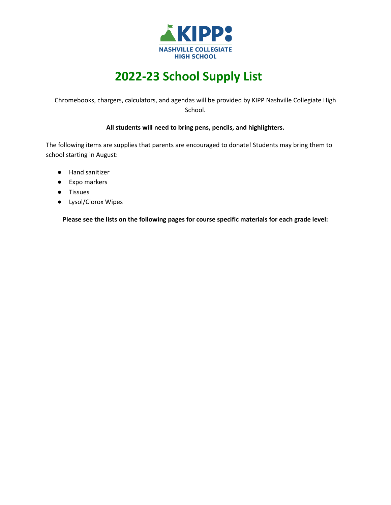

## **2022-23 School Supply List**

Chromebooks, chargers, calculators, and agendas will be provided by KIPP Nashville Collegiate High School.

## **All students will need to bring pens, pencils, and highlighters.**

The following items are supplies that parents are encouraged to donate! Students may bring them to school starting in August:

- Hand sanitizer
- Expo markers
- Tissues
- Lysol/Clorox Wipes

**Please see the lists on the following pages for course specific materials for each grade level:**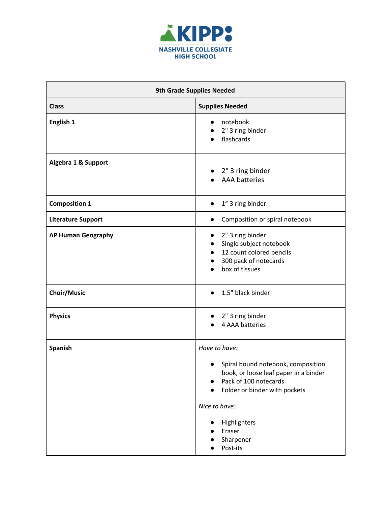

| <b>9th Grade Supplies Needed</b> |                                                                                                                                                                 |  |
|----------------------------------|-----------------------------------------------------------------------------------------------------------------------------------------------------------------|--|
| <b>Class</b>                     | <b>Supplies Needed</b>                                                                                                                                          |  |
| English 1                        | notebook<br>2" 3 ring binder<br>flashcards<br>$\bullet$                                                                                                         |  |
| Algebra 1 & Support              | 2" 3 ring binder<br><b>AAA</b> batteries                                                                                                                        |  |
| <b>Composition 1</b>             | 1" 3 ring binder<br>$\bullet$                                                                                                                                   |  |
| <b>Literature Support</b>        | Composition or spiral notebook<br>$\bullet$                                                                                                                     |  |
| <b>AP Human Geography</b>        | 2" 3 ring binder<br>$\bullet$<br>Single subject notebook<br>$\bullet$<br>12 count colored pencils<br>$\bullet$<br>300 pack of notecards<br>box of tissues       |  |
| <b>Choir/Music</b>               | 1.5" black binder                                                                                                                                               |  |
| <b>Physics</b>                   | 2" 3 ring binder<br>4 AAA batteries                                                                                                                             |  |
| Spanish                          | Have to have:                                                                                                                                                   |  |
|                                  | Spiral bound notebook, composition<br>book, or loose leaf paper in a binder<br>Pack of 100 notecards<br>$\bullet$<br>Folder or binder with pockets<br>$\bullet$ |  |
|                                  | Nice to have:                                                                                                                                                   |  |
|                                  | Highlighters<br>Eraser<br>Sharpener<br>Post-its                                                                                                                 |  |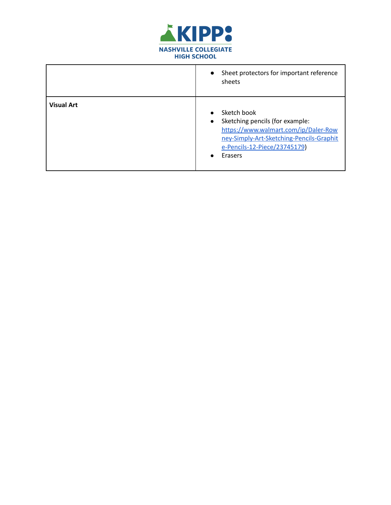

|                   | Sheet protectors for important reference<br>$\bullet$<br>sheets                                                                                                                            |
|-------------------|--------------------------------------------------------------------------------------------------------------------------------------------------------------------------------------------|
| <b>Visual Art</b> | Sketch book<br>Sketching pencils (for example:<br>$\bullet$<br>https://www.walmart.com/ip/Daler-Row<br>ney-Simply-Art-Sketching-Pencils-Graphit<br>e-Pencils-12-Piece/23745179)<br>Erasers |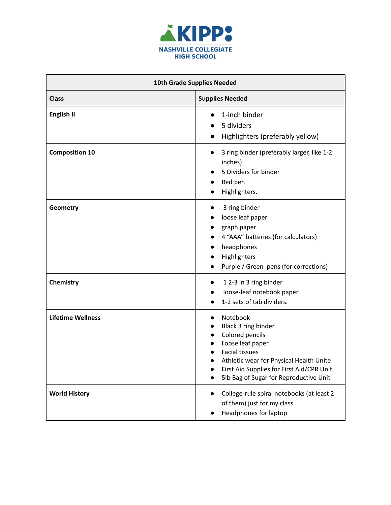

| 10th Grade Supplies Needed |                                                                                                                                                                                                                                   |
|----------------------------|-----------------------------------------------------------------------------------------------------------------------------------------------------------------------------------------------------------------------------------|
| <b>Class</b>               | <b>Supplies Needed</b>                                                                                                                                                                                                            |
| English II                 | 1-inch binder<br>5 dividers<br>Highlighters (preferably yellow)                                                                                                                                                                   |
| <b>Composition 10</b>      | 3 ring binder (preferably larger, like 1-2<br>inches)<br>5 Dividers for binder<br>Red pen<br>Highlighters.                                                                                                                        |
| Geometry                   | 3 ring binder<br>loose leaf paper<br>graph paper<br>4 "AAA" batteries (for calculators)<br>headphones<br>Highlighters<br>Purple / Green pens (for corrections)                                                                    |
| Chemistry                  | 12-3 in 3 ring binder<br>loose-leaf notebook paper<br>1-2 sets of tab dividers.                                                                                                                                                   |
| <b>Lifetime Wellness</b>   | Notebook<br>Black 3 ring binder<br>Colored pencils<br>Loose leaf paper<br><b>Facial tissues</b><br>Athletic wear for Physical Health Unite<br>First Aid Supplies for First Aid/CPR Unit<br>5lb Bag of Sugar for Reproductive Unit |
| <b>World History</b>       | College-rule spiral notebooks (at least 2<br>of them) just for my class<br>Headphones for laptop                                                                                                                                  |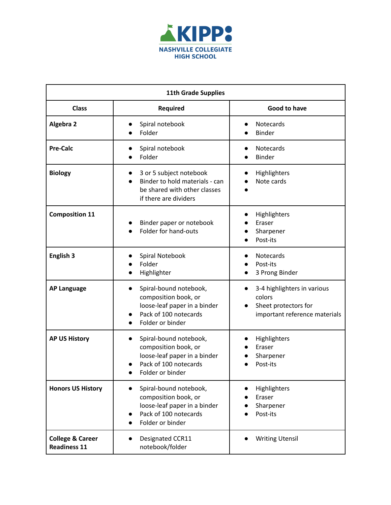

| <b>11th Grade Supplies</b>                         |                                                                                                                                                       |                                                                                                |
|----------------------------------------------------|-------------------------------------------------------------------------------------------------------------------------------------------------------|------------------------------------------------------------------------------------------------|
| <b>Class</b>                                       | <b>Required</b>                                                                                                                                       | Good to have                                                                                   |
| Algebra 2                                          | Spiral notebook<br>Folder                                                                                                                             | Notecards<br>Binder                                                                            |
| <b>Pre-Calc</b>                                    | Spiral notebook<br>Folder                                                                                                                             | Notecards<br>Binder                                                                            |
| <b>Biology</b>                                     | 3 or 5 subject notebook<br>Binder to hold materials - can<br>be shared with other classes<br>if there are dividers                                    | Highlighters<br>Note cards                                                                     |
| <b>Composition 11</b>                              | Binder paper or notebook<br>Folder for hand-outs                                                                                                      | Highlighters<br>Eraser<br>Sharpener<br>Post-its                                                |
| <b>English 3</b>                                   | Spiral Notebook<br>Folder<br>Highlighter                                                                                                              | Notecards<br>Post-its<br>3 Prong Binder                                                        |
| <b>AP Language</b>                                 | Spiral-bound notebook,<br>$\bullet$<br>composition book, or<br>loose-leaf paper in a binder<br>Pack of 100 notecards<br>Folder or binder<br>$\bullet$ | 3-4 highlighters in various<br>colors<br>Sheet protectors for<br>important reference materials |
| <b>AP US History</b>                               | Spiral-bound notebook,<br>$\bullet$<br>composition book, or<br>loose-leaf paper in a binder<br>Pack of 100 notecards<br>Folder or binder              | Highlighters<br>Eraser<br>Sharpener<br>Post-its                                                |
| <b>Honors US History</b>                           | Spiral-bound notebook,<br>$\bullet$<br>composition book, or<br>loose-leaf paper in a binder<br>Pack of 100 notecards<br>$\bullet$<br>Folder or binder | Highlighters<br>Eraser<br>Sharpener<br>Post-its                                                |
| <b>College &amp; Career</b><br><b>Readiness 11</b> | Designated CCR11<br>notebook/folder                                                                                                                   | <b>Writing Utensil</b>                                                                         |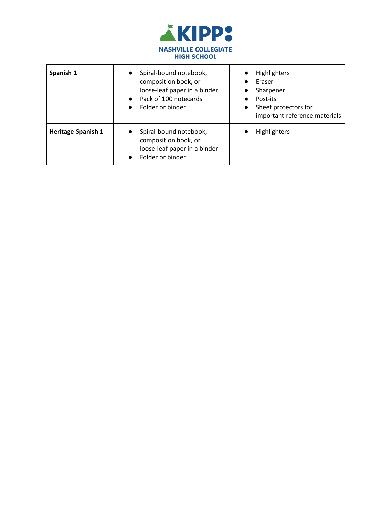

| Spanish 1                 | Spiral-bound notebook,<br>composition book, or<br>loose-leaf paper in a binder<br>Pack of 100 notecards<br>Folder or binder | <b>Highlighters</b><br>Eraser<br>Sharpener<br>Post-its<br>Sheet protectors for<br>$\bullet$<br>important reference materials |
|---------------------------|-----------------------------------------------------------------------------------------------------------------------------|------------------------------------------------------------------------------------------------------------------------------|
| <b>Heritage Spanish 1</b> | Spiral-bound notebook,<br>composition book, or<br>loose-leaf paper in a binder<br>Folder or binder                          | <b>Highlighters</b>                                                                                                          |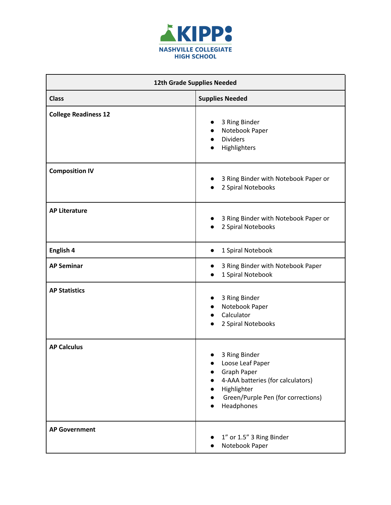

| 12th Grade Supplies Needed  |                                                                                                                                                                 |
|-----------------------------|-----------------------------------------------------------------------------------------------------------------------------------------------------------------|
| <b>Class</b>                | <b>Supplies Needed</b>                                                                                                                                          |
| <b>College Readiness 12</b> | 3 Ring Binder<br>Notebook Paper<br>$\bullet$<br><b>Dividers</b><br>$\bullet$<br>Highlighters                                                                    |
| <b>Composition IV</b>       | 3 Ring Binder with Notebook Paper or<br>2 Spiral Notebooks                                                                                                      |
| <b>AP Literature</b>        | 3 Ring Binder with Notebook Paper or<br>2 Spiral Notebooks                                                                                                      |
| English 4                   | 1 Spiral Notebook<br>$\bullet$                                                                                                                                  |
| <b>AP Seminar</b>           | 3 Ring Binder with Notebook Paper<br>$\bullet$<br>1 Spiral Notebook                                                                                             |
| <b>AP Statistics</b>        | 3 Ring Binder<br>Notebook Paper<br>$\bullet$<br>Calculator<br>$\bullet$<br>2 Spiral Notebooks                                                                   |
| <b>AP Calculus</b>          | 3 Ring Binder<br>Loose Leaf Paper<br><b>Graph Paper</b><br>4-AAA batteries (for calculators)<br>Highlighter<br>Green/Purple Pen (for corrections)<br>Headphones |
| <b>AP Government</b>        | 1" or 1.5" 3 Ring Binder<br>Notebook Paper                                                                                                                      |